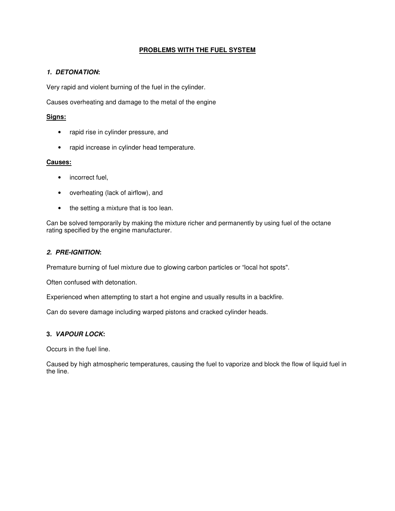## **PROBLEMS WITH THE FUEL SYSTEM**

### **1. DETONATION:**

Very rapid and violent burning of the fuel in the cylinder.

Causes overheating and damage to the metal of the engine

## **Signs:**

- rapid rise in cylinder pressure, and
- rapid increase in cylinder head temperature.

### **Causes:**

- incorrect fuel,
- overheating (lack of airflow), and
- the setting a mixture that is too lean.

Can be solved temporarily by making the mixture richer and permanently by using fuel of the octane rating specified by the engine manufacturer.

#### **2. PRE-IGNITION:**

Premature burning of fuel mixture due to glowing carbon particles or "local hot spots".

Often confused with detonation.

Experienced when attempting to start a hot engine and usually results in a backfire.

Can do severe damage including warped pistons and cracked cylinder heads.

# **3. VAPOUR LOCK:**

Occurs in the fuel line.

Caused by high atmospheric temperatures, causing the fuel to vaporize and block the flow of liquid fuel in the line.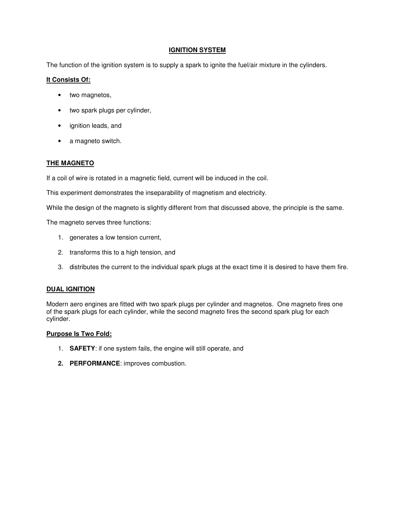### **IGNITION SYSTEM**

The function of the ignition system is to supply a spark to ignite the fuel/air mixture in the cylinders.

### **It Consists Of:**

- two magnetos,
- two spark plugs per cylinder,
- ignition leads, and
- a magneto switch.

## **THE MAGNETO**

If a coil of wire is rotated in a magnetic field, current will be induced in the coil.

This experiment demonstrates the inseparability of magnetism and electricity.

While the design of the magneto is slightly different from that discussed above, the principle is the same.

The magneto serves three functions:

- 1. generates a low tension current,
- 2. transforms this to a high tension, and
- 3. distributes the current to the individual spark plugs at the exact time it is desired to have them fire.

### **DUAL IGNITION**

Modern aero engines are fitted with two spark plugs per cylinder and magnetos. One magneto fires one of the spark plugs for each cylinder, while the second magneto fires the second spark plug for each cylinder.

#### **Purpose Is Two Fold:**

- 1. **SAFETY**: if one system fails, the engine will still operate, and
- **2. PERFORMANCE**: improves combustion.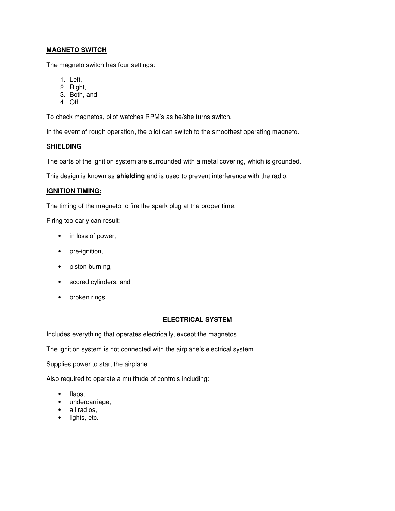## **MAGNETO SWITCH**

The magneto switch has four settings:

- 1. Left,
- 2. Right,
- 3. Both, and
- 4. Off.

To check magnetos, pilot watches RPM's as he/she turns switch.

In the event of rough operation, the pilot can switch to the smoothest operating magneto.

### **SHIELDING**

The parts of the ignition system are surrounded with a metal covering, which is grounded.

This design is known as **shielding** and is used to prevent interference with the radio.

#### **IGNITION TIMING:**

The timing of the magneto to fire the spark plug at the proper time.

Firing too early can result:

- in loss of power,
- pre-ignition,
- piston burning,
- scored cylinders, and
- broken rings.

### **ELECTRICAL SYSTEM**

Includes everything that operates electrically, except the magnetos.

The ignition system is not connected with the airplane's electrical system.

Supplies power to start the airplane.

Also required to operate a multitude of controls including:

- flaps,
- undercarriage,
- all radios,
- lights, etc.